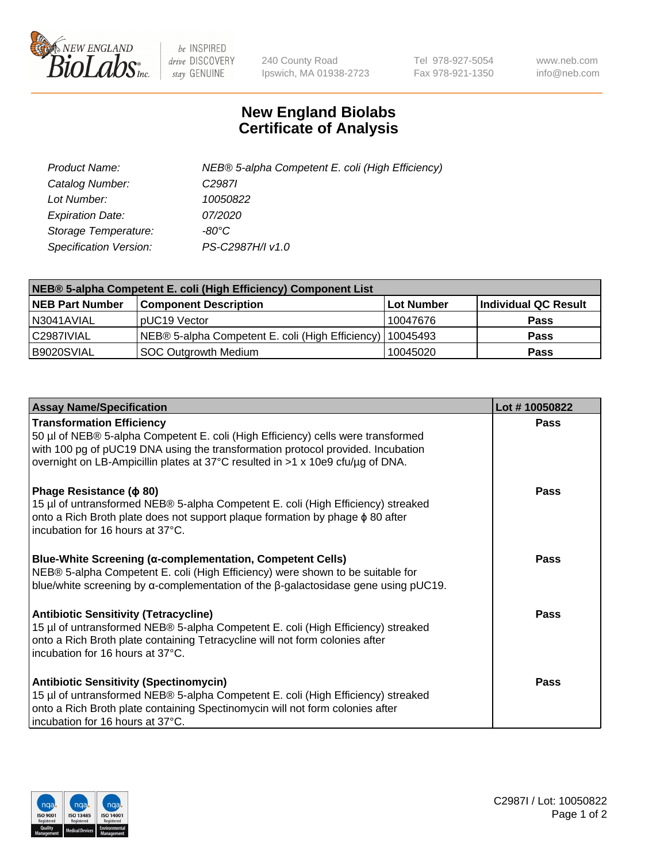

 $be$  INSPIRED drive DISCOVERY stay GENUINE

240 County Road Ipswich, MA 01938-2723 Tel 978-927-5054 Fax 978-921-1350 www.neb.com info@neb.com

## **New England Biolabs Certificate of Analysis**

| Product Name:           | NEB® 5-alpha Competent E. coli (High Efficiency) |
|-------------------------|--------------------------------------------------|
| Catalog Number:         | C <sub>2987</sub>                                |
| Lot Number:             | 10050822                                         |
| <b>Expiration Date:</b> | <i>07/2020</i>                                   |
| Storage Temperature:    | -80°C                                            |
| Specification Version:  | PS-C2987H/I v1.0                                 |

| NEB® 5-alpha Competent E. coli (High Efficiency) Component List |                                                  |            |                      |  |
|-----------------------------------------------------------------|--------------------------------------------------|------------|----------------------|--|
| <b>NEB Part Number</b>                                          | <b>Component Description</b>                     | Lot Number | Individual QC Result |  |
| N3041AVIAL                                                      | pUC19 Vector                                     | 10047676   | <b>Pass</b>          |  |
| C2987IVIAL                                                      | NEB® 5-alpha Competent E. coli (High Efficiency) | 10045493   | <b>Pass</b>          |  |
| B9020SVIAL                                                      | <b>SOC Outgrowth Medium</b>                      | 10045020   | <b>Pass</b>          |  |

| <b>Assay Name/Specification</b>                                                                                                                                                                                                                                                           | Lot #10050822 |
|-------------------------------------------------------------------------------------------------------------------------------------------------------------------------------------------------------------------------------------------------------------------------------------------|---------------|
| <b>Transformation Efficiency</b><br>50 µl of NEB® 5-alpha Competent E. coli (High Efficiency) cells were transformed<br>with 100 pg of pUC19 DNA using the transformation protocol provided. Incubation<br>overnight on LB-Ampicillin plates at 37°C resulted in >1 x 10e9 cfu/µg of DNA. | Pass          |
| Phage Resistance ( $\phi$ 80)<br>15 µl of untransformed NEB® 5-alpha Competent E. coli (High Efficiency) streaked<br>onto a Rich Broth plate does not support plaque formation by phage $\phi$ 80 after<br>incubation for 16 hours at 37°C.                                               | Pass          |
| <b>Blue-White Screening (α-complementation, Competent Cells)</b><br>NEB® 5-alpha Competent E. coli (High Efficiency) were shown to be suitable for<br>blue/white screening by $\alpha$ -complementation of the $\beta$ -galactosidase gene using pUC19.                                   | Pass          |
| Antibiotic Sensitivity (Tetracycline)<br>15 µl of untransformed NEB® 5-alpha Competent E. coli (High Efficiency) streaked<br>onto a Rich Broth plate containing Tetracycline will not form colonies after<br>incubation for 16 hours at 37°C.                                             | Pass          |
| <b>Antibiotic Sensitivity (Spectinomycin)</b><br>15 µl of untransformed NEB® 5-alpha Competent E. coli (High Efficiency) streaked<br>onto a Rich Broth plate containing Spectinomycin will not form colonies after<br>incubation for 16 hours at 37°C.                                    | Pass          |